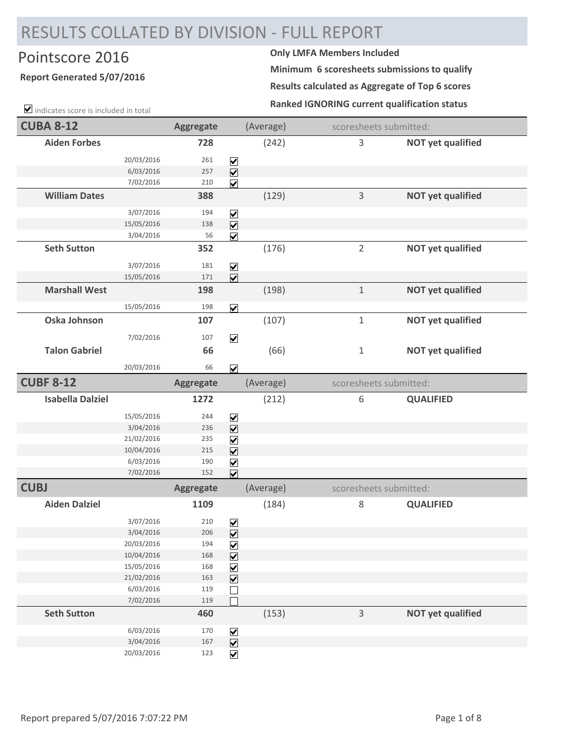## RESULTS COLLATED BY DIVISION ‐ FULL REPORT

## Pointscore 2016 **Only LMFA Members Included**

## **Report Generated 5/07/2016**

 $\blacktriangleright$  indicates score is included in total

**Minimum 6 scoresheets submissions to qualify**

**Results calculated as Aggregate of Top 6 scores**

**Ranked IGNORING current qualification status**

| <b>CUBA 8-12</b>        |                          | <b>Aggregate</b> |                                                                      | (Average) |                | scoresheets submitted:   |
|-------------------------|--------------------------|------------------|----------------------------------------------------------------------|-----------|----------------|--------------------------|
| <b>Aiden Forbes</b>     |                          | 728              |                                                                      | (242)     | $\mathsf 3$    | <b>NOT yet qualified</b> |
|                         | 20/03/2016               | 261              | $\blacktriangledown$                                                 |           |                |                          |
|                         | 6/03/2016                | 257              | $\overline{\mathbf{v}}$                                              |           |                |                          |
|                         | 7/02/2016                | 210              | $\overline{\mathbf{v}}$                                              |           |                |                          |
| <b>William Dates</b>    |                          | 388              |                                                                      | (129)     | $\mathsf 3$    | <b>NOT yet qualified</b> |
|                         | 3/07/2016                | 194              |                                                                      |           |                |                          |
|                         | 15/05/2016               | 138              | $\overline{\underline{\mathsf{S}}}\overline{\underline{\mathsf{S}}}$ |           |                |                          |
|                         | 3/04/2016                | 56               | $\overline{\mathbf{v}}$                                              |           |                |                          |
| <b>Seth Sutton</b>      |                          | 352              |                                                                      | (176)     | $\overline{2}$ | <b>NOT yet qualified</b> |
|                         | 3/07/2016                | 181              | $\boxed{\blacktriangledown}$                                         |           |                |                          |
|                         | 15/05/2016               | 171              | $\overline{\mathbf{v}}$                                              |           |                |                          |
| <b>Marshall West</b>    |                          | 198              |                                                                      | (198)     | $\mathbf 1$    | <b>NOT yet qualified</b> |
|                         | 15/05/2016               | 198              | $\overline{\mathbf{v}}$                                              |           |                |                          |
| Oska Johnson            |                          | 107              |                                                                      | (107)     | $1\,$          | <b>NOT yet qualified</b> |
|                         | 7/02/2016                | 107              | $\overline{\mathbf{v}}$                                              |           |                |                          |
| <b>Talon Gabriel</b>    |                          | 66               |                                                                      | (66)      | $\mathbf{1}$   | <b>NOT yet qualified</b> |
|                         | 20/03/2016               | 66               | $\overline{\mathbf{v}}$                                              |           |                |                          |
| <b>CUBF 8-12</b>        |                          | <b>Aggregate</b> |                                                                      | (Average) |                | scoresheets submitted:   |
| <b>Isabella Dalziel</b> |                          | 1272             |                                                                      | (212)     | 6              | <b>QUALIFIED</b>         |
|                         | 15/05/2016               | 244              | $\boxed{\blacktriangledown}$                                         |           |                |                          |
|                         | 3/04/2016                | 236              | $\overline{\mathbf{v}}$                                              |           |                |                          |
|                         | 21/02/2016               | 235              | $\overline{\mathbf{V}}$                                              |           |                |                          |
|                         | 10/04/2016               | 215              | $\boxed{\blacktriangledown}$                                         |           |                |                          |
|                         | 6/03/2016                | 190              | $\boxed{\mathbf{v}}$                                                 |           |                |                          |
|                         | 7/02/2016                | 152              | $\overline{\mathbf{v}}$                                              |           |                |                          |
| <b>CUBJ</b>             |                          | <b>Aggregate</b> |                                                                      | (Average) |                | scoresheets submitted:   |
| <b>Aiden Dalziel</b>    |                          | 1109             |                                                                      | (184)     | $\,8\,$        | <b>QUALIFIED</b>         |
|                         | 3/07/2016                | 210              | $\blacktriangledown$                                                 |           |                |                          |
|                         | 3/04/2016                | 206              | $\overline{\mathbf{v}}$                                              |           |                |                          |
|                         | 20/03/2016               | 194              | $\boxed{\blacktriangledown}$                                         |           |                |                          |
|                         | 10/04/2016               | 168              | $\overline{\mathbf{v}}$                                              |           |                |                          |
|                         | 15/05/2016<br>21/02/2016 | 168<br>163       | $\blacktriangledown$                                                 |           |                |                          |
|                         | 6/03/2016                | 119              | $\overline{\mathbf{v}}$                                              |           |                |                          |
|                         | 7/02/2016                | 119              |                                                                      |           |                |                          |
| <b>Seth Sutton</b>      |                          | 460              |                                                                      | (153)     | $\overline{3}$ | <b>NOT yet qualified</b> |
|                         | 6/03/2016                | 170              | $\triangledown$                                                      |           |                |                          |
|                         | 3/04/2016                | 167              | $\overline{\mathbf{v}}$                                              |           |                |                          |
|                         | 20/03/2016               | 123              | $\overline{\mathbf{v}}$                                              |           |                |                          |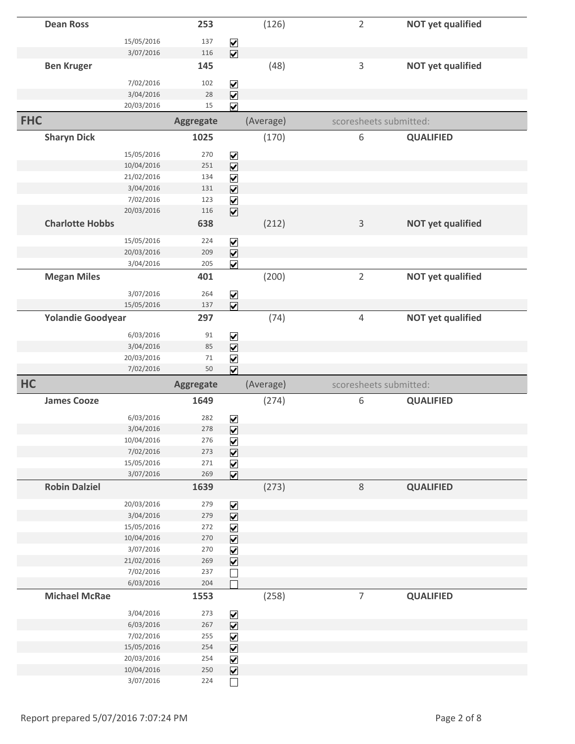|            | <b>Dean Ross</b>         |                          | 253              |                                                                       | (126)     | $\overline{2}$ |                        | <b>NOT yet qualified</b> |
|------------|--------------------------|--------------------------|------------------|-----------------------------------------------------------------------|-----------|----------------|------------------------|--------------------------|
|            |                          | 15/05/2016               | 137              |                                                                       |           |                |                        |                          |
|            |                          | 3/07/2016                | 116              | $\overline{\underline{\mathsf{S}}}\underline{\underline{\mathsf{K}}}$ |           |                |                        |                          |
|            | <b>Ben Kruger</b>        |                          | 145              |                                                                       | (48)      | 3              |                        | <b>NOT yet qualified</b> |
|            |                          |                          |                  |                                                                       |           |                |                        |                          |
|            |                          | 7/02/2016                | 102              | $\blacktriangledown$                                                  |           |                |                        |                          |
|            |                          | 3/04/2016                | 28               | $\overline{\mathbf{v}}$                                               |           |                |                        |                          |
|            |                          | 20/03/2016               | 15               | $\overline{\mathbf{v}}$                                               |           |                |                        |                          |
| <b>FHC</b> |                          |                          | <b>Aggregate</b> |                                                                       | (Average) |                | scoresheets submitted: |                          |
|            | <b>Sharyn Dick</b>       |                          | 1025             |                                                                       | (170)     | 6              |                        | <b>QUALIFIED</b>         |
|            |                          | 15/05/2016               | 270              |                                                                       |           |                |                        |                          |
|            |                          | 10/04/2016               | 251              | $\blacktriangledown$<br>$\overline{\mathbf{v}}$                       |           |                |                        |                          |
|            |                          | 21/02/2016               | 134              | $\blacktriangledown$                                                  |           |                |                        |                          |
|            |                          | 3/04/2016                | 131              | $\overline{\mathbf{v}}$                                               |           |                |                        |                          |
|            |                          | 7/02/2016                | 123              | $\blacktriangledown$                                                  |           |                |                        |                          |
|            |                          | 20/03/2016               | 116              | $\overline{\mathbf{v}}$                                               |           |                |                        |                          |
|            | <b>Charlotte Hobbs</b>   |                          | 638              |                                                                       | (212)     | $\mathsf 3$    |                        | <b>NOT yet qualified</b> |
|            |                          |                          |                  |                                                                       |           |                |                        |                          |
|            |                          | 15/05/2016               | 224              | $\blacktriangledown$                                                  |           |                |                        |                          |
|            |                          | 20/03/2016<br>3/04/2016  | 209<br>205       | $\overline{\mathbf{v}}$<br>$\overline{\mathbf{v}}$                    |           |                |                        |                          |
|            | <b>Megan Miles</b>       |                          | 401              |                                                                       | (200)     | $\overline{2}$ |                        | <b>NOT yet qualified</b> |
|            |                          |                          |                  |                                                                       |           |                |                        |                          |
|            |                          | 3/07/2016                | 264              | $\blacktriangledown$                                                  |           |                |                        |                          |
|            |                          | 15/05/2016               | 137              | $\overline{\mathbf{v}}$                                               |           |                |                        |                          |
|            | <b>Yolandie Goodyear</b> |                          | 297              |                                                                       | (74)      | $\overline{4}$ |                        | <b>NOT yet qualified</b> |
|            |                          | 6/03/2016                | 91               | $\blacktriangledown$                                                  |           |                |                        |                          |
|            |                          | 3/04/2016                | 85               | $\overline{\mathbf{v}}$                                               |           |                |                        |                          |
|            |                          |                          |                  |                                                                       |           |                |                        |                          |
|            |                          | 20/03/2016               | $71\,$           |                                                                       |           |                |                        |                          |
|            |                          | 7/02/2016                | 50               | $\blacktriangledown$<br>$\overline{\mathbf{v}}$                       |           |                |                        |                          |
| <b>HC</b>  |                          |                          | <b>Aggregate</b> |                                                                       | (Average) |                | scoresheets submitted: |                          |
|            | <b>James Cooze</b>       |                          | 1649             |                                                                       |           | 6              |                        | <b>QUALIFIED</b>         |
|            |                          |                          |                  |                                                                       | (274)     |                |                        |                          |
|            |                          | 6/03/2016                | 282              | $\boxed{\blacktriangledown}$                                          |           |                |                        |                          |
|            |                          | 3/04/2016                | 278              | $\overline{\mathbf{v}}$                                               |           |                |                        |                          |
|            |                          | 10/04/2016               | 276              | $\sum$                                                                |           |                |                        |                          |
|            |                          | 7/02/2016                | 273              | $\overline{\mathbf{v}}$                                               |           |                |                        |                          |
|            |                          | 15/05/2016               | 271              | $\blacktriangledown$                                                  |           |                |                        |                          |
|            | <b>Robin Dalziel</b>     | 3/07/2016                | 269              | $\overline{\mathbf{v}}$                                               |           |                |                        |                          |
|            |                          |                          | 1639             |                                                                       | (273)     | $\,8\,$        |                        | <b>QUALIFIED</b>         |
|            |                          | 20/03/2016               | 279              | $\blacktriangledown$                                                  |           |                |                        |                          |
|            |                          | 3/04/2016                | 279              | $\overline{\mathbf{v}}$                                               |           |                |                        |                          |
|            |                          | 15/05/2016               | 272              | $\blacktriangledown$                                                  |           |                |                        |                          |
|            |                          | 10/04/2016               | 270              | $\overline{\mathbf{v}}$                                               |           |                |                        |                          |
|            |                          | 3/07/2016                | 270              | $\blacktriangledown$                                                  |           |                |                        |                          |
|            |                          | 21/02/2016               | 269              | $\overline{\mathbf{v}}$                                               |           |                |                        |                          |
|            |                          | 7/02/2016                | 237              |                                                                       |           |                |                        |                          |
|            | <b>Michael McRae</b>     | 6/03/2016                | 204<br>1553      |                                                                       |           | $\overline{7}$ |                        | <b>QUALIFIED</b>         |
|            |                          |                          |                  |                                                                       | (258)     |                |                        |                          |
|            |                          | 3/04/2016                | 273              |                                                                       |           |                |                        |                          |
|            |                          | 6/03/2016                | 267              |                                                                       |           |                |                        |                          |
|            |                          | 7/02/2016                | 255              |                                                                       |           |                |                        |                          |
|            |                          | 15/05/2016               | 254              | $\leq  X  \leq  Z $                                                   |           |                |                        |                          |
|            |                          | 20/03/2016<br>10/04/2016 | 254<br>250       | $\overline{\underline{\mathsf{S}}}$                                   |           |                |                        |                          |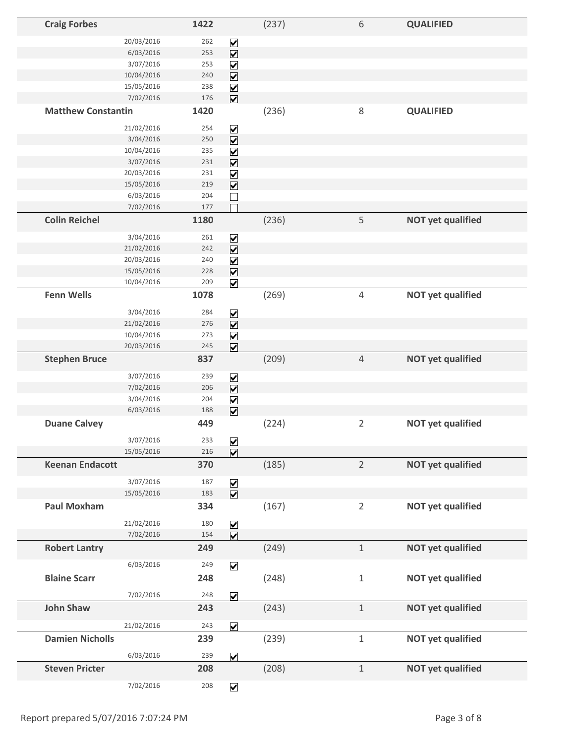| <b>Craig Forbes</b>       |            | 1422 |                                                                       | (237) | 6              | <b>QUALIFIED</b>         |
|---------------------------|------------|------|-----------------------------------------------------------------------|-------|----------------|--------------------------|
|                           | 20/03/2016 | 262  |                                                                       |       |                |                          |
|                           | 6/03/2016  | 253  | $\overline{\underline{\mathsf{S}}}\overline{\underline{\mathsf{S}}}$  |       |                |                          |
|                           | 3/07/2016  | 253  |                                                                       |       |                |                          |
|                           | 10/04/2016 | 240  | $\overline{\underline{\mathsf{S}}}\underline{\underline{\mathsf{K}}}$ |       |                |                          |
|                           | 15/05/2016 | 238  |                                                                       |       |                |                          |
|                           | 7/02/2016  | 176  | $\overline{\underline{\mathsf{S}}}\underline{\underline{\mathsf{S}}}$ |       |                |                          |
| <b>Matthew Constantin</b> |            | 1420 |                                                                       | (236) | 8              | <b>QUALIFIED</b>         |
|                           |            |      |                                                                       |       |                |                          |
|                           | 21/02/2016 | 254  | $\blacktriangledown$                                                  |       |                |                          |
|                           | 3/04/2016  | 250  | $\overline{\mathbf{v}}$                                               |       |                |                          |
|                           | 10/04/2016 | 235  | $\overline{\mathbf{V}}$                                               |       |                |                          |
|                           | 3/07/2016  | 231  | $\overline{\mathbf{v}}$                                               |       |                |                          |
|                           | 20/03/2016 | 231  | $\blacktriangledown$                                                  |       |                |                          |
|                           | 15/05/2016 | 219  | $\overline{\mathbf{v}}$                                               |       |                |                          |
|                           | 6/03/2016  | 204  |                                                                       |       |                |                          |
|                           | 7/02/2016  | 177  |                                                                       |       |                |                          |
| <b>Colin Reichel</b>      |            | 1180 |                                                                       | (236) | 5              | <b>NOT yet qualified</b> |
|                           | 3/04/2016  | 261  | $\triangledown$                                                       |       |                |                          |
|                           | 21/02/2016 | 242  | $\overline{\mathbf{v}}$                                               |       |                |                          |
|                           | 20/03/2016 | 240  | $\overline{\mathbf{v}}$                                               |       |                |                          |
|                           | 15/05/2016 | 228  | $\overline{\mathbf{v}}$                                               |       |                |                          |
|                           | 10/04/2016 | 209  | $\overline{\mathbf{v}}$                                               |       |                |                          |
| <b>Fenn Wells</b>         |            | 1078 |                                                                       | (269) | $\overline{4}$ | <b>NOT yet qualified</b> |
|                           |            |      |                                                                       |       |                |                          |
|                           | 3/04/2016  | 284  | $\blacktriangledown$                                                  |       |                |                          |
|                           | 21/02/2016 | 276  | $\overline{\mathbf{v}}$                                               |       |                |                          |
|                           | 10/04/2016 | 273  | $\blacktriangledown$                                                  |       |                |                          |
|                           | 20/03/2016 | 245  | $\overline{\mathbf{v}}$                                               |       |                |                          |
| <b>Stephen Bruce</b>      |            | 837  |                                                                       | (209) | $\sqrt{4}$     | <b>NOT yet qualified</b> |
|                           | 3/07/2016  | 239  | $\blacktriangledown$                                                  |       |                |                          |
|                           | 7/02/2016  | 206  | $\overline{\mathbf{v}}$                                               |       |                |                          |
|                           | 3/04/2016  | 204  | $\boxed{\blacktriangledown}$                                          |       |                |                          |
|                           | 6/03/2016  | 188  | $\overline{\mathbf{v}}$                                               |       |                |                          |
| <b>Duane Calvey</b>       |            | 449  |                                                                       | (224) | $\overline{2}$ | <b>NOT yet qualified</b> |
|                           |            |      |                                                                       |       |                |                          |
|                           | 3/07/2016  | 233  | $\boxed{\blacktriangledown}$                                          |       |                |                          |
|                           | 15/05/2016 | 216  | $\overline{\mathbf{v}}$                                               |       |                |                          |
| <b>Keenan Endacott</b>    |            | 370  |                                                                       | (185) | $\overline{2}$ | <b>NOT yet qualified</b> |
|                           | 3/07/2016  | 187  |                                                                       |       |                |                          |
|                           | 15/05/2016 | 183  | $\boxed{\blacktriangle}$                                              |       |                |                          |
| <b>Paul Moxham</b>        |            | 334  |                                                                       | (167) | $\overline{2}$ | <b>NOT yet qualified</b> |
|                           |            |      |                                                                       |       |                |                          |
|                           | 21/02/2016 | 180  | $\boxed{\blacktriangledown}$                                          |       |                |                          |
|                           | 7/02/2016  | 154  | $\overline{\mathbf{v}}$                                               |       |                |                          |
| <b>Robert Lantry</b>      |            | 249  |                                                                       | (249) | $\,1\,$        | <b>NOT yet qualified</b> |
|                           | 6/03/2016  | 249  | $\blacktriangledown$                                                  |       |                |                          |
| <b>Blaine Scarr</b>       |            | 248  |                                                                       | (248) | $1\,$          | <b>NOT yet qualified</b> |
|                           |            |      |                                                                       |       |                |                          |
|                           | 7/02/2016  | 248  | $\overline{\mathbf{v}}$                                               |       |                |                          |
| <b>John Shaw</b>          |            | 243  |                                                                       | (243) | $\,1\,$        | <b>NOT yet qualified</b> |
|                           | 21/02/2016 | 243  | $\overline{\mathbf{v}}$                                               |       |                |                          |
| <b>Damien Nicholls</b>    |            | 239  |                                                                       | (239) | $\mathbf 1$    | <b>NOT yet qualified</b> |
|                           |            |      |                                                                       |       |                |                          |
|                           | 6/03/2016  | 239  | $\overline{\mathbf{v}}$                                               |       |                |                          |
| <b>Steven Pricter</b>     |            | 208  |                                                                       | (208) | $\,1\,$        | <b>NOT yet qualified</b> |
|                           | 7/02/2016  | 208  | $\blacktriangledown$                                                  |       |                |                          |
|                           |            |      |                                                                       |       |                |                          |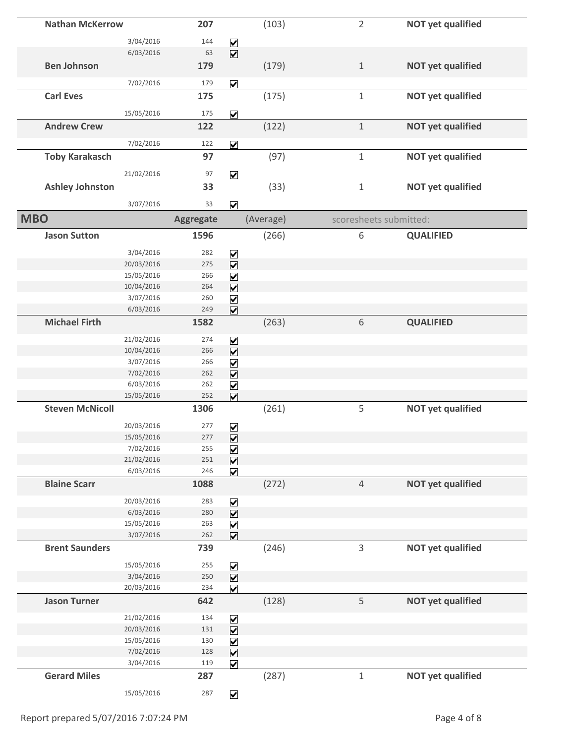|            | <b>Nathan McKerrow</b> |            | 207              |                                                                       | (103)     | $\overline{2}$ | <b>NOT yet qualified</b> |
|------------|------------------------|------------|------------------|-----------------------------------------------------------------------|-----------|----------------|--------------------------|
|            |                        | 3/04/2016  | 144              |                                                                       |           |                |                          |
|            |                        | 6/03/2016  | 63               | $\blacktriangledown$<br>$\overline{\mathbf{v}}$                       |           |                |                          |
|            | <b>Ben Johnson</b>     |            | 179              |                                                                       | (179)     | $\mathbf 1$    | <b>NOT yet qualified</b> |
|            |                        |            |                  |                                                                       |           |                |                          |
|            |                        | 7/02/2016  | 179              | $\overline{\mathbf{v}}$                                               |           |                |                          |
|            | <b>Carl Eves</b>       |            | 175              |                                                                       | (175)     | $1\,$          | <b>NOT yet qualified</b> |
|            |                        | 15/05/2016 | 175              | $\boxed{\blacktriangledown}$                                          |           |                |                          |
|            | <b>Andrew Crew</b>     |            | 122              |                                                                       | (122)     | $\mathbf 1$    | <b>NOT yet qualified</b> |
|            |                        |            |                  |                                                                       |           |                |                          |
|            |                        | 7/02/2016  | 122              | $\overline{\mathbf{v}}$                                               |           |                |                          |
|            | <b>Toby Karakasch</b>  |            | 97               |                                                                       | (97)      | $\mathbf{1}$   | <b>NOT yet qualified</b> |
|            |                        | 21/02/2016 | 97               | $\overline{\mathbf{v}}$                                               |           |                |                          |
|            | <b>Ashley Johnston</b> |            | 33               |                                                                       | (33)      | $\mathbf 1$    | <b>NOT yet qualified</b> |
|            |                        | 3/07/2016  | 33               |                                                                       |           |                |                          |
|            |                        |            |                  | $\overline{\mathbf{v}}$                                               |           |                |                          |
| <b>MBO</b> |                        |            | <b>Aggregate</b> |                                                                       | (Average) |                | scoresheets submitted:   |
|            | <b>Jason Sutton</b>    |            | 1596             |                                                                       | (266)     | 6              | <b>QUALIFIED</b>         |
|            |                        | 3/04/2016  | 282              | $\blacktriangledown$                                                  |           |                |                          |
|            |                        | 20/03/2016 | 275              | $\overline{\mathbf{v}}$                                               |           |                |                          |
|            |                        | 15/05/2016 | 266              |                                                                       |           |                |                          |
|            |                        | 10/04/2016 | 264              | $\overline{\mathbf{S}}$                                               |           |                |                          |
|            |                        | 3/07/2016  | 260              | $\overline{\underline{\mathsf{S}}}\underline{\underline{\mathsf{S}}}$ |           |                |                          |
|            |                        | 6/03/2016  | 249              |                                                                       |           |                |                          |
|            | <b>Michael Firth</b>   |            | 1582             |                                                                       | (263)     | 6              | <b>QUALIFIED</b>         |
|            |                        | 21/02/2016 | 274              | $\blacktriangledown$                                                  |           |                |                          |
|            |                        | 10/04/2016 | 266              | $\overline{\mathbf{v}}$                                               |           |                |                          |
|            |                        | 3/07/2016  | 266              | $\blacktriangledown$                                                  |           |                |                          |
|            |                        | 7/02/2016  | 262              | $\overline{\mathbf{v}}$                                               |           |                |                          |
|            |                        | 6/03/2016  | 262              | $\blacktriangledown$                                                  |           |                |                          |
|            |                        | 15/05/2016 | 252              | $\overline{\mathbf{v}}$                                               |           |                |                          |
|            | <b>Steven McNicoll</b> |            | 1306             |                                                                       | (261)     | 5              | <b>NOT yet qualified</b> |
|            |                        | 20/03/2016 | 277              | $\boxed{\blacktriangledown}$                                          |           |                |                          |
|            |                        | 15/05/2016 | 277              | $\boxed{\blacktriangledown}$                                          |           |                |                          |
|            |                        | 7/02/2016  | 255              | $\blacktriangledown$                                                  |           |                |                          |
|            |                        | 21/02/2016 | 251              | $\overline{\mathbf{v}}$                                               |           |                |                          |
|            |                        | 6/03/2016  | 246              | $\overline{\mathbf{v}}$                                               |           |                |                          |
|            | <b>Blaine Scarr</b>    |            | 1088             |                                                                       | (272)     | $\overline{4}$ | <b>NOT yet qualified</b> |
|            |                        | 20/03/2016 | 283              |                                                                       |           |                |                          |
|            |                        | 6/03/2016  | 280              | $\overline{\underline{\mathsf{N}}}$                                   |           |                |                          |
|            |                        | 15/05/2016 | 263              | $\overline{\underline{\mathsf{S}}}\underline{\underline{\mathsf{K}}}$ |           |                |                          |
|            |                        | 3/07/2016  | 262              |                                                                       |           |                |                          |
|            | <b>Brent Saunders</b>  |            | 739              |                                                                       | (246)     | 3              | <b>NOT yet qualified</b> |
|            |                        | 15/05/2016 | 255              |                                                                       |           |                |                          |
|            |                        | 3/04/2016  | 250              | $\overline{\underline{\mathsf{S}}}$                                   |           |                |                          |
|            |                        | 20/03/2016 | 234              | $\blacktriangledown$                                                  |           |                |                          |
|            | <b>Jason Turner</b>    |            | 642              |                                                                       | (128)     | 5              | <b>NOT yet qualified</b> |
|            |                        | 21/02/2016 | 134              | $\blacktriangledown$                                                  |           |                |                          |
|            |                        | 20/03/2016 | 131              | $\overline{\mathbf{v}}$                                               |           |                |                          |
|            |                        | 15/05/2016 | 130              | $\blacktriangledown$                                                  |           |                |                          |
|            |                        | 7/02/2016  | 128              | $\overline{\mathbf{v}}$                                               |           |                |                          |
|            |                        | 3/04/2016  | 119              | $\overline{\mathbf{v}}$                                               |           |                |                          |
|            | <b>Gerard Miles</b>    |            | 287              |                                                                       | (287)     | $\mathbf 1$    | <b>NOT yet qualified</b> |
|            |                        | 15/05/2016 | 287              | $\boxed{\blacktriangledown}$                                          |           |                |                          |
|            |                        |            |                  |                                                                       |           |                |                          |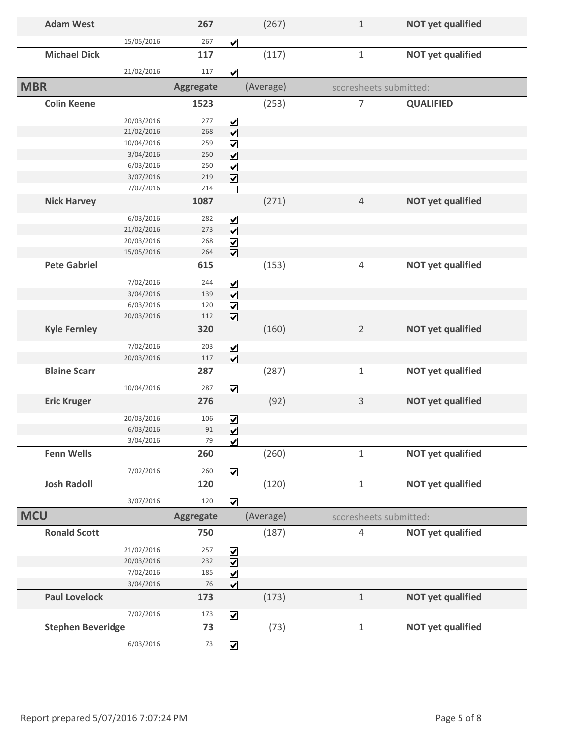| <b>Adam West</b>         |            | 267              |                              | (267)     | $\mathbf{1}$   | <b>NOT yet qualified</b> |
|--------------------------|------------|------------------|------------------------------|-----------|----------------|--------------------------|
|                          | 15/05/2016 | 267              | $\overline{\mathbf{v}}$      |           |                |                          |
| <b>Michael Dick</b>      |            | 117              |                              | (117)     | $1\,$          | <b>NOT yet qualified</b> |
|                          | 21/02/2016 | 117              | $\overline{\mathbf{v}}$      |           |                |                          |
| <b>MBR</b>               |            | <b>Aggregate</b> |                              | (Average) |                | scoresheets submitted:   |
|                          |            |                  |                              |           |                |                          |
| <b>Colin Keene</b>       |            | 1523             |                              | (253)     | 7              | <b>QUALIFIED</b>         |
|                          | 20/03/2016 | 277              | $\overline{\mathbf{v}}$      |           |                |                          |
|                          | 21/02/2016 | 268              | $\overline{\mathbf{v}}$      |           |                |                          |
|                          | 10/04/2016 | 259              | $\blacktriangledown$         |           |                |                          |
|                          | 3/04/2016  | 250              | $\overline{\mathbf{v}}$      |           |                |                          |
|                          | 6/03/2016  | 250              | $\blacktriangledown$         |           |                |                          |
|                          | 3/07/2016  | 219              | $\overline{\mathbf{v}}$      |           |                |                          |
|                          | 7/02/2016  | 214              |                              |           |                |                          |
| <b>Nick Harvey</b>       |            | 1087             |                              | (271)     | $\overline{4}$ | <b>NOT yet qualified</b> |
|                          | 6/03/2016  | 282              | $\blacktriangledown$         |           |                |                          |
|                          | 21/02/2016 | 273              | $\overline{\mathbf{v}}$      |           |                |                          |
|                          | 20/03/2016 | 268              | $\blacktriangleright$        |           |                |                          |
|                          | 15/05/2016 | 264              | $\overline{\mathbf{v}}$      |           |                |                          |
| <b>Pete Gabriel</b>      |            | 615              |                              | (153)     | $\sqrt{4}$     | <b>NOT yet qualified</b> |
|                          | 7/02/2016  | 244              | $\overline{\mathbf{v}}$      |           |                |                          |
|                          | 3/04/2016  | 139              | $\overline{\mathbf{v}}$      |           |                |                          |
|                          | 6/03/2016  | 120              | $\overline{\mathbf{v}}$      |           |                |                          |
|                          | 20/03/2016 | 112              | $\overline{\mathbf{v}}$      |           |                |                          |
| <b>Kyle Fernley</b>      |            | 320              |                              | (160)     | $\overline{2}$ | <b>NOT yet qualified</b> |
|                          | 7/02/2016  | 203              | $\overline{\mathbf{v}}$      |           |                |                          |
|                          | 20/03/2016 | 117              | $\overline{\mathbf{v}}$      |           |                |                          |
| <b>Blaine Scarr</b>      |            | 287              |                              | (287)     | $\mathbf 1$    | <b>NOT yet qualified</b> |
|                          | 10/04/2016 | 287              | $\overline{\mathbf{v}}$      |           |                |                          |
| <b>Eric Kruger</b>       |            | 276              |                              | (92)      | 3              | <b>NOT yet qualified</b> |
|                          | 20/03/2016 | 106              | $\blacktriangledown$         |           |                |                          |
|                          | 6/03/2016  | 91               | $\overline{\mathbf{v}}$      |           |                |                          |
|                          | 3/04/2016  | 79               | $\overline{\mathbf{v}}$      |           |                |                          |
| <b>Fenn Wells</b>        |            | 260              |                              | (260)     | $\mathbf{1}$   | <b>NOT yet qualified</b> |
|                          | 7/02/2016  | 260              |                              |           |                |                          |
| <b>Josh Radoll</b>       |            | 120              | $\overline{\mathbf{v}}$      |           |                | <b>NOT yet qualified</b> |
|                          |            |                  |                              | (120)     | $\mathbf 1$    |                          |
|                          | 3/07/2016  | 120              | $\overline{\mathbf{v}}$      |           |                |                          |
| <b>MCU</b>               |            | <b>Aggregate</b> |                              | (Average) |                | scoresheets submitted:   |
| <b>Ronald Scott</b>      |            | 750              |                              | (187)     | $\sqrt{4}$     | <b>NOT yet qualified</b> |
|                          | 21/02/2016 | 257              | $\blacktriangledown$         |           |                |                          |
|                          | 20/03/2016 | 232              | $\overline{\mathbf{v}}$      |           |                |                          |
|                          | 7/02/2016  | 185              | $\blacktriangledown$         |           |                |                          |
|                          | 3/04/2016  | 76               | $\overline{\mathbf{v}}$      |           |                |                          |
| <b>Paul Lovelock</b>     |            | 173              |                              | (173)     | $1\,$          | <b>NOT yet qualified</b> |
|                          | 7/02/2016  | 173              | $\overline{\mathbf{v}}$      |           |                |                          |
| <b>Stephen Beveridge</b> |            | 73               |                              | (73)      | $1\,$          | <b>NOT yet qualified</b> |
|                          |            |                  |                              |           |                |                          |
|                          | 6/03/2016  | $73\,$           | $\boxed{\blacktriangledown}$ |           |                |                          |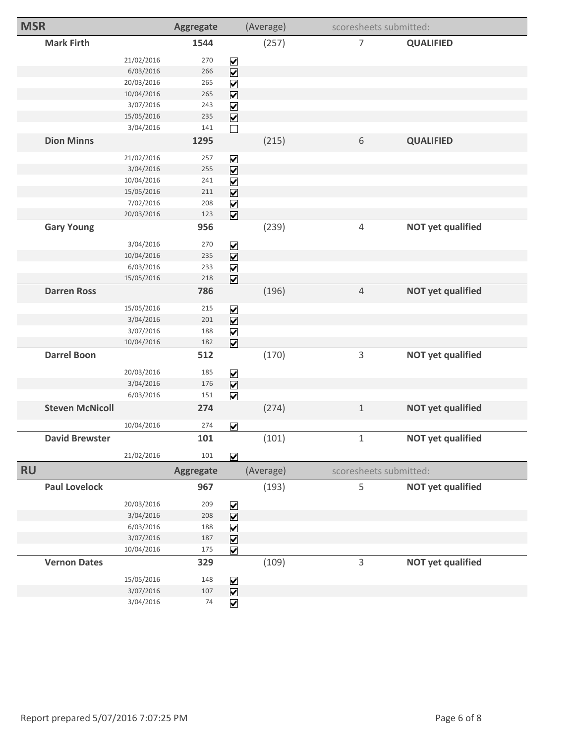| <b>MSR</b>             |            | Aggregate        |                                     | (Average) |                | scoresheets submitted:   |
|------------------------|------------|------------------|-------------------------------------|-----------|----------------|--------------------------|
| <b>Mark Firth</b>      |            | 1544             |                                     | (257)     | $\overline{7}$ | <b>QUALIFIED</b>         |
|                        | 21/02/2016 | 270              | $\blacktriangledown$                |           |                |                          |
|                        | 6/03/2016  | 266              | $\overline{\mathbf{V}}$             |           |                |                          |
|                        | 20/03/2016 | 265              | $\blacktriangledown$                |           |                |                          |
|                        | 10/04/2016 | 265              | $\overline{\mathbf{v}}$             |           |                |                          |
|                        | 3/07/2016  | 243              | $\overline{\mathbf{V}}$             |           |                |                          |
|                        | 15/05/2016 | 235              | $\overline{\mathbf{v}}$             |           |                |                          |
|                        | 3/04/2016  | 141              | $\Box$                              |           |                |                          |
| <b>Dion Minns</b>      |            | 1295             |                                     | (215)     | $\sqrt{6}$     | <b>QUALIFIED</b>         |
|                        | 21/02/2016 | 257              | ☑                                   |           |                |                          |
|                        | 3/04/2016  | 255              | $\overline{\mathbf{v}}$             |           |                |                          |
|                        | 10/04/2016 | 241              | $\blacktriangledown$                |           |                |                          |
|                        | 15/05/2016 | 211              | $\boxed{\blacktriangledown}$        |           |                |                          |
|                        | 7/02/2016  | 208              | $\overline{\mathbf{V}}$             |           |                |                          |
|                        | 20/03/2016 | 123              | $\overline{\mathbf{v}}$             |           |                |                          |
| <b>Gary Young</b>      |            | 956              |                                     | (239)     | $\sqrt{4}$     | <b>NOT yet qualified</b> |
|                        | 3/04/2016  | 270              | $\boxed{\blacktriangledown}$        |           |                |                          |
|                        | 10/04/2016 | 235              | $\overline{\mathbf{V}}$             |           |                |                          |
|                        | 6/03/2016  | 233              | $\overline{\mathbf{v}}$             |           |                |                          |
|                        | 15/05/2016 | 218              | $\overline{\mathbf{v}}$             |           |                |                          |
| <b>Darren Ross</b>     |            | 786              |                                     | (196)     | $\sqrt{4}$     | <b>NOT yet qualified</b> |
|                        | 15/05/2016 | 215              | $\blacktriangledown$                |           |                |                          |
|                        | 3/04/2016  | 201              | $\overline{\mathbf{v}}$             |           |                |                          |
|                        | 3/07/2016  | 188              | $\overline{\mathbf{V}}$             |           |                |                          |
|                        | 10/04/2016 | 182              | $\overline{\mathbf{v}}$             |           |                |                          |
| <b>Darrel Boon</b>     |            | 512              |                                     | (170)     | 3              | <b>NOT yet qualified</b> |
|                        | 20/03/2016 | 185              | $\blacktriangledown$                |           |                |                          |
|                        | 3/04/2016  | 176              | $\overline{\mathbf{v}}$             |           |                |                          |
|                        | 6/03/2016  | 151              | $\overline{\mathbf{v}}$             |           |                |                          |
| <b>Steven McNicoll</b> |            | 274              |                                     | (274)     | $\mathbf 1$    | <b>NOT yet qualified</b> |
|                        | 10/04/2016 | 274              | $\overline{\mathbf{v}}$             |           |                |                          |
| <b>David Brewster</b>  |            | 101              |                                     | (101)     | $\mathbf 1$    | <b>NOT yet qualified</b> |
|                        | 21/02/2016 | 101              | $\overline{\mathbf{v}}$             |           |                |                          |
| <b>RU</b>              |            | <b>Aggregate</b> |                                     | (Average) |                | scoresheets submitted:   |
| <b>Paul Lovelock</b>   |            | 967              |                                     | (193)     | 5              | <b>NOT yet qualified</b> |
|                        | 20/03/2016 | 209              | $\blacktriangledown$                |           |                |                          |
|                        | 3/04/2016  | 208              | $\overline{\mathbf{v}}$             |           |                |                          |
|                        | 6/03/2016  | 188              | $\blacktriangledown$                |           |                |                          |
|                        | 3/07/2016  | 187              | $\overline{\mathbf{v}}$             |           |                |                          |
|                        | 10/04/2016 | 175              | $\overline{\mathbf{v}}$             |           |                |                          |
| <b>Vernon Dates</b>    |            | 329              |                                     | (109)     | 3              | <b>NOT yet qualified</b> |
|                        | 15/05/2016 | 148              | $\overline{\underline{\mathsf{S}}}$ |           |                |                          |
|                        | 3/07/2016  | 107              |                                     |           |                |                          |
|                        | 3/04/2016  | 74               | $\overline{\mathbf{v}}$             |           |                |                          |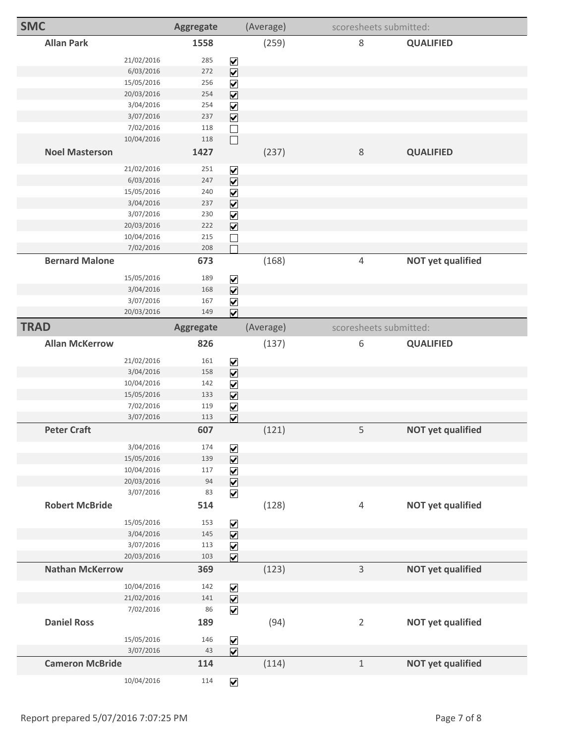| <b>SMC</b>             |                        | <b>Aggregate</b> |                                                                       | (Average) | scoresheets submitted:                     |  |
|------------------------|------------------------|------------------|-----------------------------------------------------------------------|-----------|--------------------------------------------|--|
| <b>Allan Park</b>      |                        | 1558             |                                                                       | (259)     | 8<br><b>QUALIFIED</b>                      |  |
|                        | 21/02/2016             | 285              | $\blacktriangledown$                                                  |           |                                            |  |
|                        | 6/03/2016              | 272              | $\overline{\mathbf{v}}$                                               |           |                                            |  |
|                        | 15/05/2016             | 256              | $\blacktriangledown$                                                  |           |                                            |  |
|                        | 20/03/2016             | 254              | $\overline{\mathbf{v}}$                                               |           |                                            |  |
|                        | 3/04/2016              | 254              | $\overline{\mathbf{V}}$                                               |           |                                            |  |
|                        | 3/07/2016              | 237              | $\overline{\mathbf{v}}$                                               |           |                                            |  |
|                        | 7/02/2016              | 118              | $\Box$                                                                |           |                                            |  |
|                        | 10/04/2016             | 118              | $\Box$                                                                |           |                                            |  |
| <b>Noel Masterson</b>  |                        | 1427             |                                                                       | (237)     | $\,8\,$<br><b>QUALIFIED</b>                |  |
|                        | 21/02/2016             | 251              | $\triangledown$                                                       |           |                                            |  |
|                        | 6/03/2016              | 247              | $\overline{\mathbf{v}}$                                               |           |                                            |  |
|                        | 15/05/2016             | 240              | $\blacktriangledown$                                                  |           |                                            |  |
|                        | 3/04/2016              | 237              | $\overline{\mathbf{v}}$                                               |           |                                            |  |
|                        | 3/07/2016              | 230              | $\overline{\mathbf{v}}$                                               |           |                                            |  |
|                        | 20/03/2016             | 222              | $\overline{\mathbf{v}}$                                               |           |                                            |  |
|                        | 10/04/2016             | 215              |                                                                       |           |                                            |  |
|                        | 7/02/2016              | 208              |                                                                       |           |                                            |  |
| <b>Bernard Malone</b>  |                        | 673              |                                                                       | (168)     | $\overline{4}$<br><b>NOT yet qualified</b> |  |
|                        | 15/05/2016             | 189              | $\blacktriangledown$                                                  |           |                                            |  |
|                        | 3/04/2016              | 168              | $\overline{\mathbf{V}}$                                               |           |                                            |  |
|                        | 3/07/2016              | 167              | $\triangledown$                                                       |           |                                            |  |
|                        | 20/03/2016             | 149              | $\overline{\mathbf{v}}$                                               |           |                                            |  |
| <b>TRAD</b>            |                        | <b>Aggregate</b> |                                                                       | (Average) | scoresheets submitted:                     |  |
| <b>Allan McKerrow</b>  |                        | 826              |                                                                       | (137)     | 6<br><b>QUALIFIED</b>                      |  |
|                        | 21/02/2016             | 161              |                                                                       |           |                                            |  |
|                        | 3/04/2016              | 158              | $\triangledown$<br>$\overline{\mathbf{v}}$                            |           |                                            |  |
|                        | 10/04/2016             | 142              | $\blacktriangledown$                                                  |           |                                            |  |
|                        | 15/05/2016             | 133              | $\boxed{\blacktriangledown}$                                          |           |                                            |  |
|                        | 7/02/2016              | 119              | $\overline{\mathbf{v}}$                                               |           |                                            |  |
|                        | 3/07/2016              | 113              | $\overline{\mathbf{v}}$                                               |           |                                            |  |
| <b>Peter Craft</b>     |                        | 607              |                                                                       | (121)     | 5<br><b>NOT yet qualified</b>              |  |
|                        |                        |                  |                                                                       |           |                                            |  |
|                        | 3/04/2016              | 174              | $\blacktriangledown$                                                  |           |                                            |  |
|                        | 15/05/2016             | 139              | $\overline{\mathbf{v}}$                                               |           |                                            |  |
|                        | 10/04/2016             | 117              | $\overline{\underline{\mathsf{S}}}\underline{\underline{\mathsf{K}}}$ |           |                                            |  |
|                        | 20/03/2016             | 94               |                                                                       |           |                                            |  |
|                        | 3/07/2016              | 83               | $\overline{\mathbf{v}}$                                               |           |                                            |  |
| <b>Robert McBride</b>  |                        | 514              |                                                                       | (128)     | $\sqrt{4}$<br><b>NOT yet qualified</b>     |  |
|                        | 15/05/2016             | 153              | $\blacktriangledown$                                                  |           |                                            |  |
|                        | 3/04/2016              | 145              | $\overline{\mathbf{v}}$                                               |           |                                            |  |
|                        | 3/07/2016              | 113              | $\blacktriangledown$                                                  |           |                                            |  |
|                        | 20/03/2016             | 103              | $\overline{\mathbf{v}}$                                               |           |                                            |  |
|                        | <b>Nathan McKerrow</b> | 369              |                                                                       | (123)     | $\overline{3}$<br><b>NOT yet qualified</b> |  |
|                        | 10/04/2016             | 142              | $\boxed{\blacktriangledown}$                                          |           |                                            |  |
|                        | 21/02/2016             | 141              | $\overline{\mathbf{v}}$                                               |           |                                            |  |
|                        | 7/02/2016              | 86               | $\overline{\mathbf{v}}$                                               |           |                                            |  |
| <b>Daniel Ross</b>     |                        | 189              |                                                                       | (94)      | $\overline{2}$<br><b>NOT yet qualified</b> |  |
|                        | 15/05/2016             | 146              | $\boxed{\blacktriangledown}$                                          |           |                                            |  |
|                        | 3/07/2016              | 43               | $\overline{\mathbf{v}}$                                               |           |                                            |  |
| <b>Cameron McBride</b> |                        | 114              |                                                                       | (114)     | $\mathbf 1$<br><b>NOT yet qualified</b>    |  |
|                        |                        |                  |                                                                       |           |                                            |  |
|                        | 10/04/2016             | 114              | $\overline{\mathbf{v}}$                                               |           |                                            |  |